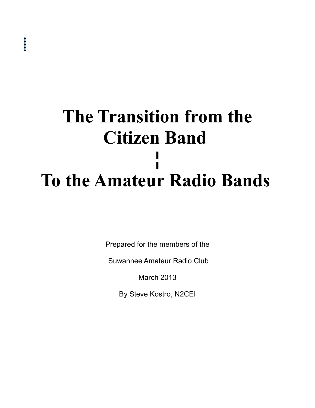# **The Transition from the Citizen Band ¦ To the Amateur Radio Bands**

Prepared for the members of the

Suwannee Amateur Radio Club

March 2013

By Steve Kostro, N2CEI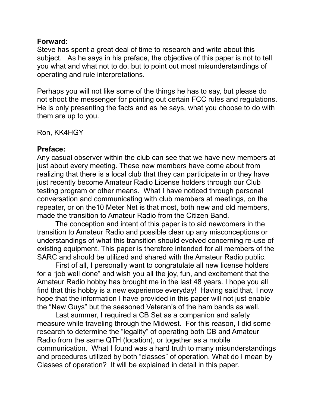### **Forward:**

Steve has spent a great deal of time to research and write about this subject. As he says in his preface, the objective of this paper is not to tell you what and what not to do, but to point out most misunderstandings of operating and rule interpretations.

Perhaps you will not like some of the things he has to say, but please do not shoot the messenger for pointing out certain FCC rules and regulations. He is only presenting the facts and as he says, what you choose to do with them are up to you.

Ron, KK4HGY

### **Preface:**

Any casual observer within the club can see that we have new members at just about every meeting. These new members have come about from realizing that there is a local club that they can participate in or they have just recently become Amateur Radio License holders through our Club testing program or other means. What I have noticed through personal conversation and communicating with club members at meetings, on the repeater, or on the10 Meter Net is that most, both new and old members, made the transition to Amateur Radio from the Citizen Band.

The conception and intent of this paper is to aid newcomers in the transition to Amateur Radio and possible clear up any misconceptions or understandings of what this transition should evolved concerning re-use of existing equipment. This paper is therefore intended for all members of the SARC and should be utilized and shared with the Amateur Radio public.

First of all, I personally want to congratulate all new license holders for a "job well done" and wish you all the joy, fun, and excitement that the Amateur Radio hobby has brought me in the last 48 years. I hope you all find that this hobby is a new experience everyday! Having said that, I now hope that the information I have provided in this paper will not just enable the "New Guys" but the seasoned Veteran's of the ham bands as well.

Last summer, I required a CB Set as a companion and safety measure while traveling through the Midwest. For this reason, I did some research to determine the "legality" of operating both CB and Amateur Radio from the same QTH (location), or together as a mobile communication. What I found was a hard truth to many misunderstandings and procedures utilized by both "classes" of operation. What do I mean by Classes of operation? It will be explained in detail in this paper.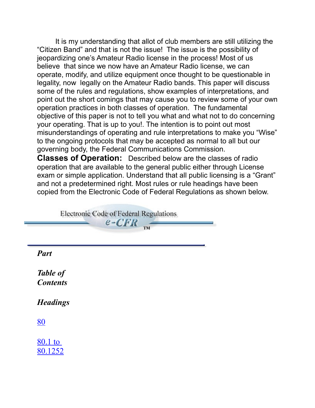It is my understanding that allot of club members are still utilizing the "Citizen Band" and that is not the issue! The issue is the possibility of jeopardizing one's Amateur Radio license in the process! Most of us believe that since we now have an Amateur Radio license, we can operate, modify, and utilize equipment once thought to be questionable in legality, now legally on the Amateur Radio bands. This paper will discuss some of the rules and regulations, show examples of interpretations, and point out the short comings that may cause you to review some of your own operation practices in both classes of operation. The fundamental objective of this paper is not to tell you what and what not to do concerning your operating. That is up to you!. The intention is to point out most misunderstandings of operating and rule interpretations to make you "Wise" to the ongoing protocols that may be accepted as normal to all but our governing body, the Federal Communications Commission.

**Classes of Operation:** Described below are the classes of radio operation that are available to the general public either through License exam or simple application. Understand that all public licensing is a "Grant" and not a predetermined right. Most rules or rule headings have been copied from the Electronic Code of Federal Regulations as shown below.

**Electronic Code of Federal Regulations**  $e$ -CFR TM

*Part Table of Contents*

*Headings*

[80](http://www.ecfr.gov/cgi/t/text/text-idx?c=ecfr&SID=15ad143e607a2e67efc2b4e28c39f782&rgn=div5&view=text&node=47:5.0.1.1.1&idno=47)

[80.1 to](http://www.ecfr.gov/cgi/t/text/text-idx?c=ecfr&SID=15ad143e607a2e67efc2b4e28c39f782&tpl=/ecfrbrowse/Title47/47cfr80_main_02.tpl) [80.1252](http://www.ecfr.gov/cgi/t/text/text-idx?c=ecfr&SID=15ad143e607a2e67efc2b4e28c39f782&tpl=/ecfrbrowse/Title47/47cfr80_main_02.tpl)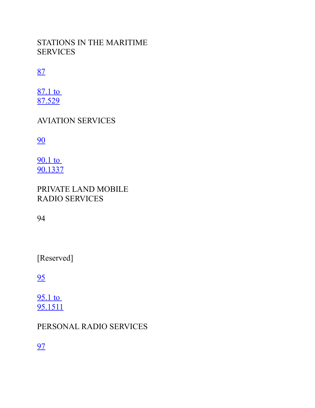# STATIONS IN THE MARITIME **SERVICES**

# [87](http://www.ecfr.gov/cgi/t/text/text-idx?c=ecfr&SID=15ad143e607a2e67efc2b4e28c39f782&rgn=div5&view=text&node=47:5.0.1.1.2&idno=47)

[87.1 to](http://www.ecfr.gov/cgi/t/text/text-idx?c=ecfr&SID=15ad143e607a2e67efc2b4e28c39f782&tpl=/ecfrbrowse/Title47/47cfr87_main_02.tpl) [87.529](http://www.ecfr.gov/cgi/t/text/text-idx?c=ecfr&SID=15ad143e607a2e67efc2b4e28c39f782&tpl=/ecfrbrowse/Title47/47cfr87_main_02.tpl)

AVIATION SERVICES

[90](http://www.ecfr.gov/cgi/t/text/text-idx?c=ecfr&SID=15ad143e607a2e67efc2b4e28c39f782&rgn=div5&view=text&node=47:5.0.1.1.3&idno=47)

[90.1 to](http://www.ecfr.gov/cgi/t/text/text-idx?c=ecfr&SID=15ad143e607a2e67efc2b4e28c39f782&tpl=/ecfrbrowse/Title47/47cfr90_main_02.tpl) [90.1337](http://www.ecfr.gov/cgi/t/text/text-idx?c=ecfr&SID=15ad143e607a2e67efc2b4e28c39f782&tpl=/ecfrbrowse/Title47/47cfr90_main_02.tpl)

PRIVATE LAND MOBILE RADIO SERVICES

94

[Reserved]

[95](http://www.ecfr.gov/cgi/t/text/text-idx?c=ecfr&SID=15ad143e607a2e67efc2b4e28c39f782&rgn=div5&view=text&node=47:5.0.1.1.5&idno=47)

[95.1 to](http://www.ecfr.gov/cgi/t/text/text-idx?c=ecfr&SID=15ad143e607a2e67efc2b4e28c39f782&tpl=/ecfrbrowse/Title47/47cfr95_main_02.tpl) [95.1511](http://www.ecfr.gov/cgi/t/text/text-idx?c=ecfr&SID=15ad143e607a2e67efc2b4e28c39f782&tpl=/ecfrbrowse/Title47/47cfr95_main_02.tpl)

# PERSONAL RADIO SERVICES

[97](http://www.ecfr.gov/cgi/t/text/text-idx?c=ecfr&SID=15ad143e607a2e67efc2b4e28c39f782&rgn=div5&view=text&node=47:5.0.1.1.6&idno=47)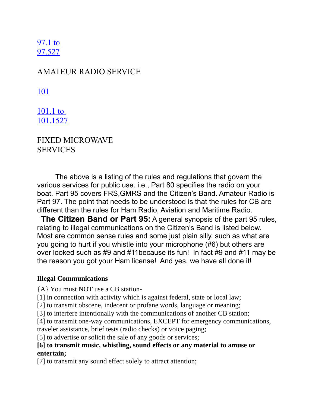[97.1 to](http://www.ecfr.gov/cgi/t/text/text-idx?c=ecfr&SID=15ad143e607a2e67efc2b4e28c39f782&tpl=/ecfrbrowse/Title47/47cfr97_main_02.tpl) [97.527](http://www.ecfr.gov/cgi/t/text/text-idx?c=ecfr&SID=15ad143e607a2e67efc2b4e28c39f782&tpl=/ecfrbrowse/Title47/47cfr97_main_02.tpl)

## AMATEUR RADIO SERVICE

[101](http://www.ecfr.gov/cgi/t/text/text-idx?c=ecfr&SID=15ad143e607a2e67efc2b4e28c39f782&rgn=div5&view=text&node=47:5.0.1.1.7&idno=47)

[101.1 to](http://www.ecfr.gov/cgi/t/text/text-idx?c=ecfr&SID=15ad143e607a2e67efc2b4e28c39f782&tpl=/ecfrbrowse/Title47/47cfr101_main_02.tpl) [101.1527](http://www.ecfr.gov/cgi/t/text/text-idx?c=ecfr&SID=15ad143e607a2e67efc2b4e28c39f782&tpl=/ecfrbrowse/Title47/47cfr101_main_02.tpl)

FIXED MICROWAVE SERVICES

The above is a listing of the rules and regulations that govern the various services for public use. i.e., Part 80 specifies the radio on your boat. Part 95 covers FRS,GMRS and the Citizen's Band. Amateur Radio is Part 97. The point that needs to be understood is that the rules for CB are different than the rules for Ham Radio, Aviation and Maritime Radio.

 **The Citizen Band or Part 95:** A general synopsis of the part 95 rules, relating to illegal communications on the Citizen's Band is listed below. Most are common sense rules and some just plain silly, such as what are you going to hurt if you whistle into your microphone (#6) but others are over looked such as #9 and #11because its fun! In fact #9 and #11 may be the reason you got your Ham license! And yes, we have all done it!

### **Illegal Communications**

{A} You must NOT use a CB station-

[1] in connection with activity which is against federal, state or local law;

[2] to transmit obscene, indecent or profane words, language or meaning;

[3] to interfere intentionally with the communications of another CB station;

[4] to transmit one-way communications, EXCEPT for emergency communications,

traveler assistance, brief tests (radio checks) or voice paging;

[5] to advertise or solicit the sale of any goods or services;

### **[6] to transmit music, whistling, sound effects or any material to amuse or entertain;**

[7] to transmit any sound effect solely to attract attention;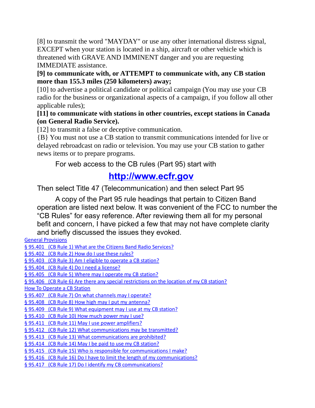[8] to transmit the word "MAYDAY" or use any other international distress signal, EXCEPT when your station is located in a ship, aircraft or other vehicle which is threatened with GRAVE AND IMMINENT danger and you are requesting IMMEDIATE assistance.

### **[9] to communicate with, or ATTEMPT to communicate with, any CB station more than 155.3 miles (250 kilometers) away;**

[10] to advertise a political candidate or political campaign (You may use your CB radio for the business or organizational aspects of a campaign, if you follow all other applicable rules);

### **[11] to communicate with stations in other countries, except stations in Canada (on General Radio Service).**

[12] to transmit a false or deceptive communication.

{B} You must not use a CB station to transmit communications intended for live or delayed rebroadcast on radio or television. You may use your CB station to gather news items or to prepare programs.

For web access to the CB rules (Part 95) start with

# **[http://www.ecfr.gov](http://www.ecfr.gov/)**

Then select Title 47 (Telecommunication) and then select Part 95

A copy of the Part 95 rule headings that pertain to Citizen Band operation are listed next below. It was convenient of the FCC to number the "CB Rules" for easy reference. After reviewing them all for my personal befit and concern, I have picked a few that may not have complete clarity and briefly discussed the issues they evoked.

[General Provisions](http://www.ecfr.gov/cgi-bin/text-idx?c=ecfr&SID=15ad143e607a2e67efc2b4e28c39f782&rgn=div5&view=text&node=47:5.0.1.1.5&idno=47) § 95.401 (CB Rule 1) What are the Citizens Band Radio Services?  [§ 95.402 \(CB Rule 2\) How do I use these rules?](http://www.ecfr.gov/cgi-bin/text-idx?c=ecfr&SID=15ad143e607a2e67efc2b4e28c39f782&rgn=div5&view=text&node=47:5.0.1.1.5&idno=47)  [§ 95.403 \(CB Rule 3\) Am I eligible to operate a CB station?](http://www.ecfr.gov/cgi-bin/text-idx?c=ecfr&SID=15ad143e607a2e67efc2b4e28c39f782&rgn=div5&view=text&node=47:5.0.1.1.5&idno=47)  [§ 95.404 \(CB Rule 4\) Do I need a license?](http://www.ecfr.gov/cgi-bin/text-idx?c=ecfr&SID=15ad143e607a2e67efc2b4e28c39f782&rgn=div5&view=text&node=47:5.0.1.1.5&idno=47)  [§ 95.405 \(CB Rule 5\) Where may I operate my CB station?](http://www.ecfr.gov/cgi-bin/text-idx?c=ecfr&SID=15ad143e607a2e67efc2b4e28c39f782&rgn=div5&view=text&node=47:5.0.1.1.5&idno=47)  [§ 95.406 \(CB Rule 6\) Are there any special restrictions on the location of my CB station?](http://www.ecfr.gov/cgi-bin/text-idx?c=ecfr&SID=15ad143e607a2e67efc2b4e28c39f782&rgn=div5&view=text&node=47:5.0.1.1.5&idno=47) [How To Operate a CB Station](http://www.ecfr.gov/cgi-bin/text-idx?c=ecfr&SID=15ad143e607a2e67efc2b4e28c39f782&rgn=div5&view=text&node=47:5.0.1.1.5&idno=47)  [§ 95.407 \(CB Rule 7\) On what channels may I operate?](http://www.ecfr.gov/cgi-bin/text-idx?c=ecfr&SID=15ad143e607a2e67efc2b4e28c39f782&rgn=div5&view=text&node=47:5.0.1.1.5&idno=47)  [§ 95.408 \(CB Rule 8\) How high may I put my antenna?](http://www.ecfr.gov/cgi-bin/text-idx?c=ecfr&SID=15ad143e607a2e67efc2b4e28c39f782&rgn=div5&view=text&node=47:5.0.1.1.5&idno=47)  [§ 95.409 \(CB Rule 9\) What equipment may I use at my CB station?](http://www.ecfr.gov/cgi-bin/text-idx?c=ecfr&SID=15ad143e607a2e67efc2b4e28c39f782&rgn=div5&view=text&node=47:5.0.1.1.5&idno=47)  [§ 95.410 \(CB Rule 10\) How much power may I use?](http://www.ecfr.gov/cgi-bin/text-idx?c=ecfr&SID=15ad143e607a2e67efc2b4e28c39f782&rgn=div5&view=text&node=47:5.0.1.1.5&idno=47)  [§ 95.411 \(CB Rule 11\) May I use power amplifiers?](http://www.ecfr.gov/cgi-bin/text-idx?c=ecfr&SID=15ad143e607a2e67efc2b4e28c39f782&rgn=div5&view=text&node=47:5.0.1.1.5&idno=47)  [§ 95.412 \(CB Rule 12\) What communications may be transmitted?](http://www.ecfr.gov/cgi-bin/text-idx?c=ecfr&SID=15ad143e607a2e67efc2b4e28c39f782&rgn=div5&view=text&node=47:5.0.1.1.5&idno=47)  [§ 95.413 \(CB Rule 13\) What communications are prohibited?](http://www.ecfr.gov/cgi-bin/text-idx?c=ecfr&SID=15ad143e607a2e67efc2b4e28c39f782&rgn=div5&view=text&node=47:5.0.1.1.5&idno=47)  [§ 95.414 \(CB Rule 14\) May I be paid to use my CB station?](http://www.ecfr.gov/cgi-bin/text-idx?c=ecfr&SID=15ad143e607a2e67efc2b4e28c39f782&rgn=div5&view=text&node=47:5.0.1.1.5&idno=47)  [§ 95.415 \(CB Rule 15\) Who is responsible for communications I make?](http://www.ecfr.gov/cgi-bin/text-idx?c=ecfr&SID=15ad143e607a2e67efc2b4e28c39f782&rgn=div5&view=text&node=47:5.0.1.1.5&idno=47)  [§ 95.416 \(CB Rule 16\) Do I have to limit the length of my communications?](http://www.ecfr.gov/cgi-bin/text-idx?c=ecfr&SID=15ad143e607a2e67efc2b4e28c39f782&rgn=div5&view=text&node=47:5.0.1.1.5&idno=47) § 95.417 (CB Rule 17) Do I identify my CB communications?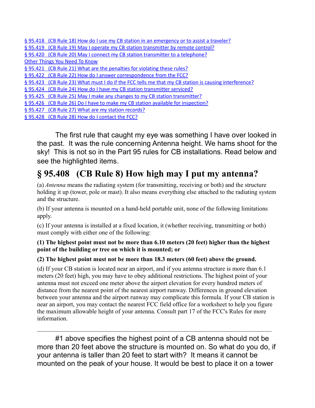| § 95.418 (CB Rule 18) How do I use my CB station in an emergency or to assist a traveler?            |
|------------------------------------------------------------------------------------------------------|
| § 95.419 (CB Rule 19) May I operate my CB station transmitter by remote control?                     |
| § 95.420 (CB Rule 20) May I connect my CB station transmitter to a telephone?                        |
| <b>Other Things You Need To Know</b>                                                                 |
| §95.421 (CB Rule 21) What are the penalties for violating these rules?                               |
| §95.422 (CB Rule 22) How do I answer correspondence from the FCC?                                    |
| § 95.423 (CB Rule 23) What must I do if the FCC tells me that my CB station is causing interference? |
| § 95.424 (CB Rule 24) How do I have my CB station transmitter serviced?                              |
|                                                                                                      |

§ 95.425 (CB Rule 25) May I make any changes to my CB station transmitter?

- [§ 95.426 \(CB Rule 26\) Do I have to make my CB station available for inspection?](http://www.ecfr.gov/cgi-bin/text-idx?c=ecfr&SID=15ad143e607a2e67efc2b4e28c39f782&rgn=div5&view=text&node=47:5.0.1.1.5&idno=47)
- § 95.427 (CB Rule 27) What are my station records?

§ 95.428 (CB Rule 28) How do I contact the FCC?

The first rule that caught my eye was something I have over looked in the past. It was the rule concerning Antenna height. We hams shoot for the sky! This is not so in the Part 95 rules for CB installations. Read below and see the highlighted items.

# **§ 95.408 (CB Rule 8) How high may I put my antenna?**

(a) *Antenna* means the radiating system (for transmitting, receiving or both) and the structure holding it up (tower, pole or mast). It also means everything else attached to the radiating system and the structure.

(b) If your antenna is mounted on a hand-held portable unit, none of the following limitations apply.

(c) If your antenna is installed at a fixed location, it (whether receiving, transmitting or both) must comply with either one of the following:

### **(1) The highest point must not be more than 6.10 meters (20 feet) higher than the highest point of the building or tree on which it is mounted; or**

### **(2) The highest point must not be more than 18.3 meters (60 feet) above the ground.**

(d) If your CB station is located near an airport, and if you antenna structure is more than 6.1 meters (20 feet) high, you may have to obey additional restrictions. The highest point of your antenna must not exceed one meter above the airport elevation for every hundred meters of distance from the nearest point of the nearest airport runway. Differences in ground elevation between your antenna and the airport runway may complicate this formula. If your CB station is near an airport, you may contact the nearest FCC field office for a worksheet to help you figure the maximum allowable height of your antenna. Consult part 17 of the FCC's Rules for more information.

#1 above specifies the highest point of a CB antenna should not be more than 20 feet above the structure is mounted on. So what do you do, if your antenna is taller than 20 feet to start with? It means it cannot be mounted on the peak of your house. It would be best to place it on a tower

 $\mathcal{L}_\text{max}$  , and the contribution of the contribution of the contribution of the contribution of the contribution of the contribution of the contribution of the contribution of the contribution of the contribution of t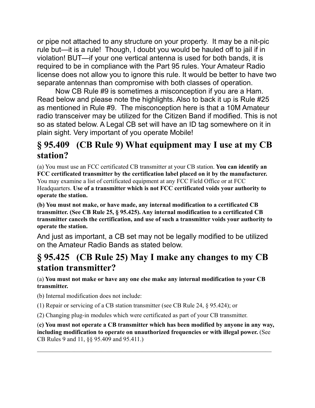or pipe not attached to any structure on your property. It may be a nit-pic rule but—it is a rule! Though, I doubt you would be hauled off to jail if in violation! BUT—if your one vertical antenna is used for both bands, it is required to be in compliance with the Part 95 rules. Your Amateur Radio license does not allow you to ignore this rule. It would be better to have two separate antennas than compromise with both classes of operation.

Now CB Rule #9 is sometimes a misconception if you are a Ham. Read below and please note the highlights. Also to back it up is Rule #25 as mentioned in Rule #9. The misconception here is that a 10M Amateur radio transceiver may be utilized for the Citizen Band if modified. This is not so as stated below. A Legal CB set will have an ID tag somewhere on it in plain sight. Very important of you operate Mobile!

# **§ 95.409 (CB Rule 9) What equipment may I use at my CB station?**

(a) You must use an FCC certificated CB transmitter at your CB station. **You can identify an FCC certificated transmitter by the certification label placed on it by the manufacturer.** You may examine a list of certificated equipment at any FCC Field Office or at FCC Headquarters. **Use of a transmitter which is not FCC certificated voids your authority to operate the station.**

**(b) You must not make, or have made, any internal modification to a certificated CB transmitter. (See CB Rule 25, § 95.425). Any internal modification to a certificated CB transmitter cancels the certification, and use of such a transmitter voids your authority to operate the station.**

And just as important, a CB set may not be legally modified to be utilized on the Amateur Radio Bands as stated below.

# **§ 95.425 (CB Rule 25) May I make any changes to my CB station transmitter?**

(a) **You must not make or have any one else make any internal modification to your CB transmitter.**

(b) Internal modification does not include:

(1) Repair or servicing of a CB station transmitter (see CB Rule 24, § 95.424); or

(2) Changing plug-in modules which were certificated as part of your CB transmitter.

(**c) You must not operate a CB transmitter which has been modified by anyone in any way, including modification to operate on unauthorized frequencies or with illegal power.** (See CB Rules 9 and 11, §§ 95.409 and 95.411.)

 $\mathcal{L}_\text{max}$  , and the contribution of the contribution of the contribution of the contribution of the contribution of the contribution of the contribution of the contribution of the contribution of the contribution of t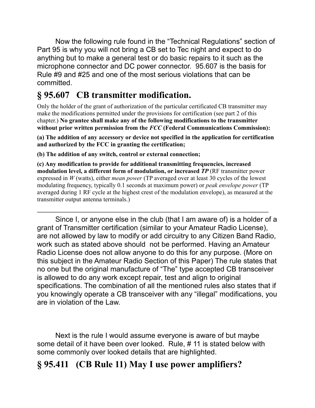Now the following rule found in the "Technical Regulations" section of Part 95 is why you will not bring a CB set to Tec night and expect to do anything but to make a general test or do basic repairs to it such as the microphone connector and DC power connector. 95.607 is the basis for Rule #9 and #25 and one of the most serious violations that can be committed.

# **§ 95.607 CB transmitter modification.**

Only the holder of the grant of authorization of the particular certificated CB transmitter may make the modifications permitted under the provisions for certification (see part 2 of this chapter.) **No grantee shall make any of the following modifications to the transmitter without prior written permission from the** *FCC* **(Federal Communications Commission):**

**(a) The addition of any accessory or device not specified in the application for certification and authorized by the FCC in granting the certification;**

**(b) The addition of any switch, control or external connection;**

**(c) Any modification to provide for additional transmitting frequencies, increased modulation level, a different form of modulation, or increased** *TP* (RF transmitter power expressed in *W* (watts), either *mean power* (TP averaged over at least 30 cycles of the lowest modulating frequency, typically 0.1 seconds at maximum power) or *peak envelope power* (TP averaged during 1 RF cycle at the highest crest of the modulation envelope), as measured at the transmitter output antenna terminals.)

 $\mathcal{L}_\mathcal{L} = \mathcal{L}_\mathcal{L} = \mathcal{L}_\mathcal{L} = \mathcal{L}_\mathcal{L} = \mathcal{L}_\mathcal{L} = \mathcal{L}_\mathcal{L} = \mathcal{L}_\mathcal{L} = \mathcal{L}_\mathcal{L} = \mathcal{L}_\mathcal{L} = \mathcal{L}_\mathcal{L} = \mathcal{L}_\mathcal{L} = \mathcal{L}_\mathcal{L} = \mathcal{L}_\mathcal{L} = \mathcal{L}_\mathcal{L} = \mathcal{L}_\mathcal{L} = \mathcal{L}_\mathcal{L} = \mathcal{L}_\mathcal{L}$ 

Since I, or anyone else in the club (that I am aware of) is a holder of a grant of Transmitter certification (similar to your Amateur Radio License), are not allowed by law to modify or add circuitry to any Citizen Band Radio, work such as stated above should not be performed. Having an Amateur Radio License does not allow anyone to do this for any purpose. (More on this subject in the Amateur Radio Section of this Paper) The rule states that no one but the original manufacture of "The" type accepted CB transceiver is allowed to do any work except repair, test and align to original specifications. The combination of all the mentioned rules also states that if you knowingly operate a CB transceiver with any "illegal" modifications, you are in violation of the Law.

Next is the rule I would assume everyone is aware of but maybe some detail of it have been over looked. Rule, # 11 is stated below with some commonly over looked details that are highlighted.

# **§ 95.411 (CB Rule 11) May I use power amplifiers?**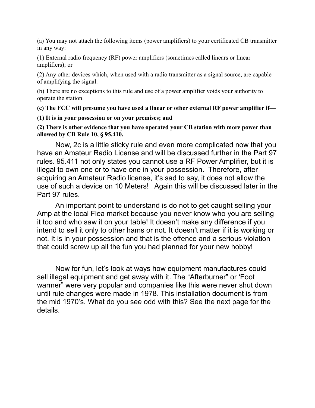(a) You may not attach the following items (power amplifiers) to your certificated CB transmitter in any way:

(1) External radio frequency (RF) power amplifiers (sometimes called linears or linear amplifiers); or

(2) Any other devices which, when used with a radio transmitter as a signal source, are capable of amplifying the signal.

(b) There are no exceptions to this rule and use of a power amplifier voids your authority to operate the station.

**(c) The FCC will presume you have used a linear or other external RF power amplifier if—**

**(1) It is in your possession or on your premises; and**

**(2) There is other evidence that you have operated your CB station with more power than allowed by CB Rule 10, § 95.410. 9**

Now, 2c is a little sticky rule and even more complicated now that you have an Amateur Radio License and will be discussed further in the Part 97 rules. 95.411 not only states you cannot use a RF Power Amplifier, but it is illegal to own one or to have one in your possession. Therefore, after acquiring an Amateur Radio license, it's sad to say, it does not allow the use of such a device on 10 Meters! Again this will be discussed later in the Part 97 rules.

An important point to understand is do not to get caught selling your Amp at the local Flea market because you never know who you are selling it too and who saw it on your table! It doesn't make any difference if you intend to sell it only to other hams or not. It doesn't matter if it is working or not. It is in your possession and that is the offence and a serious violation that could screw up all the fun you had planned for your new hobby!

Now for fun, let's look at ways how equipment manufactures could sell illegal equipment and get away with it. The "Afterburner" or 'Foot warmer" were very popular and companies like this were never shut down until rule changes were made in 1978. This installation document is from the mid 1970's. What do you see odd with this? See the next page for the details.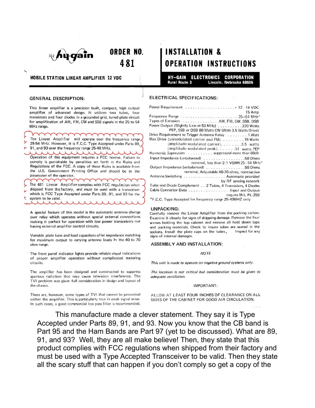

**MOBILE STATION LINEAR AMPLIFIER 12 VDC** 

ORDER NO.

481

#### **GENERAL DESCRIPTION:**

This linear amplifier is a precision built, compact, high output amplifier of advanced design. It utilizes two tubes, four transistors and four diodes in a grounded grid, tuned plate circuit for amplification of AM, FM, CW and SSB signals in the 25 to 54 MHz range.

The Linear Amplifier will operate over the frequency range. 25-54 MHz. However, it is F.C.C. Type Accepted under Parts 89, 91, and 93 over the frequency range 25-40 MHz.

Operation of this equipment requires a FCC license. Failure to comply is punishable by penalities set forth in the Rules and Regulations of the FCC. A copy of these Rules is available from the U.S. Government Printing Office and should be in the possession of the operator.

The 481 Linear Amplifier complies with FCC regulation when shipped from the factory, and must be used with a transceiver which is FCC Type Accepted under Parts 89, 91, and 93 for the system to be valid.

A special feature of this model is the automatic antenna change over relay which operates without special external connections making it perfect for operation with low power transceivers not having external amplifier control circuits.

Variable plate tune and load capacitors offer impedance matching for maximum output to varying antenna loads in the 40 to 70 ohm range.

The front panel indicator lights provide reliable visual indications of proper amplifier operation without complicated metering circuits.

The amplifier has been designed and constructed to suppress spurious radiation that may cause television interference. The TVI problem was given full consideration in design and layout of the chassis.

There are, however, some types of TVI that cannot be prevented within the amplifier. This is particularly true in weak signal areas. In such cases, a good commercial low pass filter is recommended.

# **INSTALLATION & OPERATION INSTRUCTIONS**

HY-GAIN ELECTRONICS **CORPORATION Rural Route 3** Lincoln, Nebraska 68505

#### **ELECTRICAL SPECIFICATIONS:**

| 15 Amp                                                     |
|------------------------------------------------------------|
|                                                            |
| Types of Emission AM, FM, CW, SSB, DSB                     |
| Power Output (Slightly Less at 50 MHz) 220 Watts           |
| PEP, SSB or DSB 80 Watts CW (With 3.5 Watts Drive)         |
| Drive Requirement to Trigger Antenna Relay 1 Watt          |
| Max Drive (unmodulated carrier and FM). 15 Watts           |
| (amplitude modulated carrier). 3.5 watts                   |
| (amplitude modulated peak) 14 watts PEP                    |
| Harmonic Supression suppressed more than 60db              |
| Input Impedance (unbalanced) 50 Ohms                       |
| nominal, less than 2:1 VSWR 25-54 MHz                      |
| Output Impedance (unbalanced) 50 Ohms                      |
| nominal, Adjustable 40-70 ohms, nonreactive                |
| Antenna Switching Automatic provided                       |
| by RF sensing network                                      |
| Tube and Diode Complement 2 Tubes, 4 Transistors, 4 Diodes |
|                                                            |
| require MIL PL-259                                         |
| *F.C.C. Type Accepted for frequency range 25-40MHZ only    |
|                                                            |

#### **UNPACKING:**

Carefully remove the Linear Amplifier from the packing carton. Examine it closely for signs of shipping damage. Remove the four screws holding the top cabinet and remove all hold down tape and packing materials. Check to insure tubes are seated in the sockets. Install the plate caps on the tubes. Inspect for any signs of internal damages.

#### ASSEMBLY AND INSTALLATION:

#### **NOTE**

This unit is made to operate on negative ground systems only.

The location is not critical but consideration must be given to adequate ventilation.

#### IMPORTANT:

ALLOW AT LEAST FOUR INCHES OF CLEARANCE ON ALL SIDES OF THE CABINET FOR GOOD AIR CIRCULATION.

This manufacture made a clever statement. They say it is Type Accepted under Parts 89, 91, and 93. Now you know that the CB band is Part 95 and the Ham Bands are Part 97 (yet to be discussed). What are 89, 91, and 93? Well, they are all make believe! Then, they state that this product complies with FCC regulations when shipped from their factory and must be used with a Type Accepted Transceiver to be valid. Then they state all the scary stuff that can happen if you don't comply so get a copy of the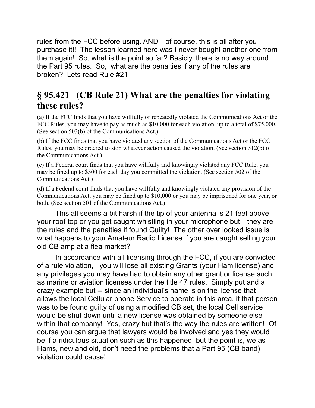rules from the FCC before using. AND—of course, this is all after you purchase it!! The lesson learned here was I never bought another one from them again! So, what is the point so far? Basicly, there is no way around the Part 95 rules. So, what are the penalties if any of the rules are broken? Lets read Rule #21

# **§ 95.421 (CB Rule 21) What are the penalties for violating these rules?**

(a) If the FCC finds that you have willfully or repeatedly violated the Communications Act or the FCC Rules, you may have to pay as much as \$10,000 for each violation, up to a total of \$75,000. (See section 503(b) of the Communications Act.)

(b) If the FCC finds that you have violated any section of the Communications Act or the FCC Rules, you may be ordered to stop whatever action caused the violation. (See section 312(b) of the Communications Act.)

(c) If a Federal court finds that you have willfully and knowingly violated any FCC Rule, you may be fined up to \$500 for each day you committed the violation. (See section 502 of the Communications Act.)

(d) If a Federal court finds that you have willfully and knowingly violated any provision of the Communications Act, you may be fined up to \$10,000 or you may be imprisoned for one year, or both. (See section 501 of the Communications Act.)

This all seems a bit harsh if the tip of your antenna is 21 feet above your roof top or you get caught whistling in your microphone but—they are the rules and the penalties if found Guilty! The other over looked issue is what happens to your Amateur Radio License if you are caught selling your old CB amp at a flea market?

In accordance with all licensing through the FCC, if you are convicted of a rule violation, you will lose all existing Grants (your Ham license) and any privileges you may have had to obtain any other grant or license such as marine or aviation licenses under the title 47 rules. Simply put and a crazy example but -- since an individual's name is on the license that allows the local Cellular phone Service to operate in this area, if that person was to be found guilty of using a modified CB set, the local Cell service would be shut down until a new license was obtained by someone else within that company! Yes, crazy but that's the way the rules are written! Of course you can argue that lawyers would be involved and yes they would be if a ridiculous situation such as this happened, but the point is, we as Hams, new and old, don't need the problems that a Part 95 (CB band) violation could cause!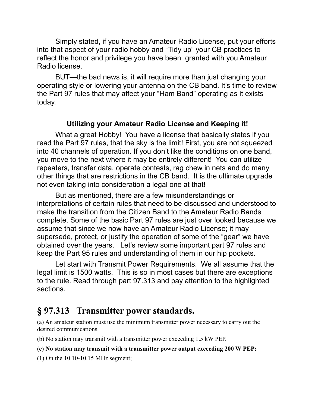Simply stated, if you have an Amateur Radio License, put your efforts into that aspect of your radio hobby and "Tidy up" your CB practices to reflect the honor and privilege you have been granted with you Amateur Radio license.

BUT—the bad news is, it will require more than just changing your operating style or lowering your antenna on the CB band. It's time to review the Part 97 rules that may affect your "Ham Band" operating as it exists today.

### **Utilizing your Amateur Radio License and Keeping it!**

What a great Hobby! You have a license that basically states if you read the Part 97 rules, that the sky is the limit! First, you are not squeezed into 40 channels of operation. If you don't like the conditions on one band, you move to the next where it may be entirely different! You can utilize repeaters, transfer data, operate contests, rag chew in nets and do many other things that are restrictions in the CB band. It is the ultimate upgrade not even taking into consideration a legal one at that!

But as mentioned, there are a few misunderstandings or interpretations of certain rules that need to be discussed and understood to make the transition from the Citizen Band to the Amateur Radio Bands complete. Some of the basic Part 97 rules are just over looked because we assume that since we now have an Amateur Radio License; it may supersede, protect, or justify the operation of some of the "gear" we have obtained over the years. Let's review some important part 97 rules and keep the Part 95 rules and understanding of them in our hip pockets.

Let start with Transmit Power Requirements. We all assume that the legal limit is 1500 watts. This is so in most cases but there are exceptions to the rule. Read through part 97.313 and pay attention to the highlighted sections.

# **§ 97.313 Transmitter power standards.**

(a) An amateur station must use the minimum transmitter power necessary to carry out the desired communications.

(b) No station may transmit with a transmitter power exceeding 1.5 kW PEP.

### **(c) No station may transmit with a transmitter power output exceeding 200 W PEP:**

(1) On the 10.10-10.15 MHz segment;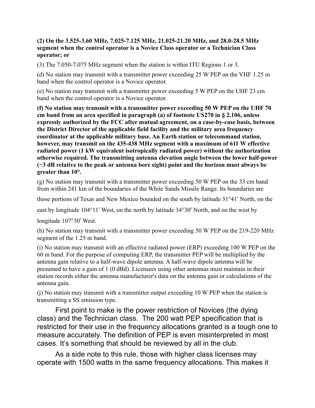### **(2) On the 3.525-3.60 MHz, 7.025-7.125 MHz, 21.025-21.20 MHz, and 28.0-28.5 MHz segment when the control operator is a Novice Class operator or a Technician Class operator; or**

(3) The 7.050-7.075 MHz segment when the station is within ITU Regions 1 or 3.

(d) No station may transmit with a transmitter power exceeding 25 W PEP on the VHF 1.25 m band when the control operator is a Novice operator.

(e) No station may transmit with a transmitter power exceeding 5 W PEP on the UHF 23 cm band when the control operator is a Novice operator.

**(f) No station may transmit with a transmitter power exceeding 50 W PEP on the UHF 70 cm band from an area specified in paragraph (a) of footnote US270 in § 2.106, unless expressly authorized by the FCC after mutual agreement, on a case-by-case basis, between the District Director of the applicable field facility and the military area frequency coordinator at the applicable military base. An Earth station or telecommand station, however, may transmit on the 435-438 MHz segment with a maximum of 611 W effective radiated power (1 kW equivalent isotropically radiated power) without the authorization otherwise required. The transmitting antenna elevation angle between the lower half-power (−3 dB relative to the peak or antenna bore sight) point and the horizon must always be greater than 10°.**

(g) No station may transmit with a transmitter power exceeding 50 W PEP on the 33 cm band from within 241 km of the boundaries of the White Sands Missile Range. Its boundaries are

those portions of Texas and New Mexico bounded on the south by latitude 31°41′ North, on the

east by longitude 104°11′ West, on the north by latitude 34°30′ North, and on the west by

longitude 107°30′ West.

(h) No station may transmit with a transmitter power exceeding 50 W PEP on the 219-220 MHz segment of the 1.25 m band.

(i) No station may transmit with an effective radiated power (ERP) exceeding 100 W PEP on the 60 m band. For the purpose of computing ERP, the transmitter PEP will be multiplied by the antenna gain relative to a half-wave dipole antenna. A half-wave dipole antenna will be presumed to have a gain of 1 (0 dBd). Licensees using other antennas must maintain in their station records either the antenna manufacturer's data on the antenna gain or calculations of the antenna gain.

(j) No station may transmit with a transmitter output exceeding 10 W PEP when the station is transmitting a SS emission type.

First point to make is the power restriction of Novices (the dying class) and the Technician class. The 200 watt PEP specification that is restricted for their use in the frequency allocations granted is a tough one to measure accurately. The definition of PEP is even misinterpreted in most cases. It's something that should be reviewed by all in the club.

As a side note to this rule, those with higher class licenses may operate with 1500 watts in the same frequency allocations. This makes it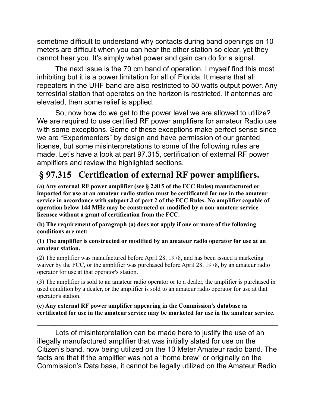sometime difficult to understand why contacts during band openings on 10 meters are difficult when you can hear the other station so clear, yet they cannot hear you. It's simply what power and gain can do for a signal.

The next issue is the 70 cm band of operation. I myself find this most inhibiting but it is a power limitation for all of Florida. It means that all repeaters in the UHF band are also restricted to 50 watts output power. Any terrestrial station that operates on the horizon is restricted. If antennas are elevated, then some relief is applied.

So, now how do we get to the power level we are allowed to utilize? We are required to use certified RF power amplifiers for amateur Radio use with some exceptions. Some of these exceptions make perfect sense since we are "Experimenters" by design and have permission of our granted license, but some misinterpretations to some of the following rules are made. Let's have a look at part 97.315, certification of external RF power amplifiers and review the highlighted sections.

# **§ 97.315 Certification of external RF power amplifiers.**

(**a) Any external RF power amplifier (see § 2.815 of the FCC Rules) manufactured or imported for use at an amateur radio station must be certificated for use in the amateur service in accordance with subpart J of part 2 of the FCC Rules. No amplifier capable of operation below 144 MHz may be constructed or modified by a non-amateur service licensee without a grant of certification from the FCC.**

**(b) The requirement of paragraph (a) does not apply if one or more of the following conditions are met:**

### **(1) The amplifier is constructed or modified by an amateur radio operator for use at an amateur station.**

(2) The amplifier was manufactured before April 28, 1978, and has been issued a marketing waiver by the FCC, or the amplifier was purchased before April 28, 1978, by an amateur radio operator for use at that operator's station.

(3) The amplifier is sold to an amateur radio operator or to a dealer, the amplifier is purchased in used condition by a dealer, or the amplifier is sold to an amateur radio operator for use at that operator's station.

### **(c) Any external RF power amplifier appearing in the Commission's database as certificated for use in the amateur service may be marketed for use in the amateur service.**

 $\mathcal{L}_\mathcal{L} = \{ \mathcal{L}_\mathcal{L} = \{ \mathcal{L}_\mathcal{L} = \{ \mathcal{L}_\mathcal{L} = \{ \mathcal{L}_\mathcal{L} = \{ \mathcal{L}_\mathcal{L} = \{ \mathcal{L}_\mathcal{L} = \{ \mathcal{L}_\mathcal{L} = \{ \mathcal{L}_\mathcal{L} = \{ \mathcal{L}_\mathcal{L} = \{ \mathcal{L}_\mathcal{L} = \{ \mathcal{L}_\mathcal{L} = \{ \mathcal{L}_\mathcal{L} = \{ \mathcal{L}_\mathcal{L} = \{ \mathcal{L}_\mathcal{$ 

Lots of misinterpretation can be made here to justify the use of an illegally manufactured amplifier that was initially slated for use on the Citizen's band, now being utilized on the 10 Meter Amateur radio band. The facts are that if the amplifier was not a "home brew" or originally on the Commission's Data base, it cannot be legally utilized on the Amateur Radio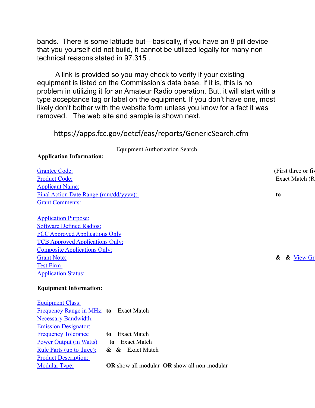bands. There is some latitude but—basically, if you have an 8 pill device that you yourself did not build, it cannot be utilized legally for many non technical reasons stated in 97.315 .

A link is provided so you may check to verify if your existing equipment is listed on the Commission's data base. If it is, this is no problem in utilizing it for an Amateur Radio operation. But, it will start with a type acceptance tag or label on the equipment. If you don't have one, most likely don't bother with the website form unless you know for a fact it was removed. The web site and sample is shown next.

### https://apps.fcc.gov/oetcf/eas/reports/GenericSearch.cfm

Equipment Authorization Search

### **Application Information:**

| <b>Grantee Code:</b>                                                              | (First three or fiv |
|-----------------------------------------------------------------------------------|---------------------|
| <b>Product Code:</b>                                                              | Exact Match (R      |
| <b>Applicant Name:</b>                                                            |                     |
| Final Action Date Range (mm/dd/yyyy):                                             | to                  |
| <b>Grant Comments:</b>                                                            |                     |
|                                                                                   |                     |
| <b>Application Purpose:</b>                                                       |                     |
| <b>Software Defined Radios:</b>                                                   |                     |
| <b>FCC Approved Applications Only</b>                                             |                     |
| <b>TCB Approved Applications Only:</b>                                            |                     |
| <b>Composite Applications Only:</b>                                               |                     |
| <b>Grant Note:</b>                                                                | & View Gr<br>&      |
| <b>Test Firm</b>                                                                  |                     |
| <b>Application Status:</b>                                                        |                     |
|                                                                                   |                     |
| <b>Equipment Information:</b>                                                     |                     |
| <b>Equipment Class:</b>                                                           |                     |
| Frequency Range in MHz: to Exact Match                                            |                     |
| <b>Necessary Bandwidth:</b>                                                       |                     |
| <b>Emission Designator:</b>                                                       |                     |
| <b>Frequency Tolerance</b><br><b>Exact Match</b><br>to                            |                     |
| <b>Power Output (in Watts)</b><br><b>Exact Match</b><br>to                        |                     |
| Rule Parts (up to three):<br>& & Exact Match                                      |                     |
| <b>Product Description:</b>                                                       |                     |
| <b>Modular Type:</b><br><b>OR</b> show all modular <b>OR</b> show all non-modular |                     |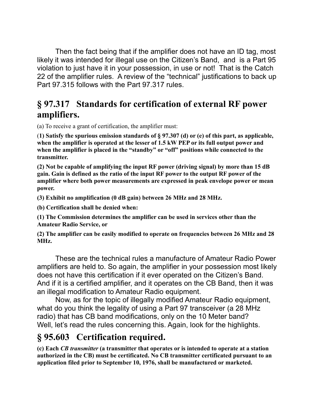Then the fact being that if the amplifier does not have an ID tag, most likely it was intended for illegal use on the Citizen's Band, and is a Part 95 violation to just have it in your possession, in use or not! That is the Catch 22 of the amplifier rules. A review of the "technical" justifications to back up Part 97.315 follows with the Part 97.317 rules.

# **§ 97.317 Standards for certification of external RF power amplifiers.**

(a) To receive a grant of certification, the amplifier must:

(**1) Satisfy the spurious emission standards of § 97.307 (d) or (e) of this part, as applicable, when the amplifier is operated at the lesser of 1.5 kW PEP or its full output power and when the amplifier is placed in the "standby" or "off" positions while connected to the transmitter.**

**(2) Not be capable of amplifying the input RF power (driving signal) by more than 15 dB gain. Gain is defined as the ratio of the input RF power to the output RF power of the amplifier where both power measurements are expressed in peak envelope power or mean power.**

**(3) Exhibit no amplification (0 dB gain) between 26 MHz and 28 MHz.**

**(b) Certification shall be denied when:**

**(1) The Commission determines the amplifier can be used in services other than the Amateur Radio Service, or**

**(2) The amplifier can be easily modified to operate on frequencies between 26 MHz and 28 MHz.**

These are the technical rules a manufacture of Amateur Radio Power amplifiers are held to. So again, the amplifier in your possession most likely does not have this certification if it ever operated on the Citizen's Band. And if it is a certified amplifier, and it operates on the CB Band, then it was an illegal modification to Amateur Radio equipment.

Now, as for the topic of illegally modified Amateur Radio equipment, what do you think the legality of using a Part 97 transceiver (a 28 MHz radio) that has CB band modifications, only on the 10 Meter band? Well, let's read the rules concerning this. Again, look for the highlights.

# **§ 95.603 Certification required.**

**(c) Each** *CB transmitter* **(a transmitter that operates or is intended to operate at a station authorized in the CB) must be certificated. No CB transmitter certificated pursuant to an application filed prior to September 10, 1976, shall be manufactured or marketed.**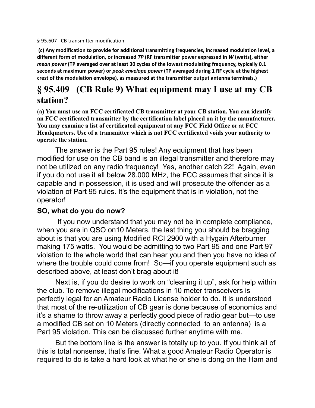§ 95.607 CB transmitter modification.

**(c) Any modification to provide for additional transmitting frequencies, increased modulation level, a different form of modulation, or increased** *TP* **(RF transmitter power expressed in** *W* **(watts), either** *mean power* **(TP averaged over at least 30 cycles of the lowest modulating frequency, typically 0.1 seconds at maximum power) or** *peak envelope power* **(TP averaged during 1 RF cycle at the highest crest of the modulation envelope), as measured at the transmitter output antenna terminals.)**

# **§ 95.409 (CB Rule 9) What equipment may I use at my CB station?**

**(a) You must use an FCC certificated CB transmitter at your CB station. You can identify an FCC certificated transmitter by the certification label placed on it by the manufacturer. You may examine a list of certificated equipment at any FCC Field Office or at FCC Headquarters. Use of a transmitter which is not FCC certificated voids your authority to operate the station.**

The answer is the Part 95 rules! Any equipment that has been modified for use on the CB band is an illegal transmitter and therefore may not be utilized on any radio frequency! Yes, another catch 22! Again, even if you do not use it all below 28.000 MHz, the FCC assumes that since it is capable and in possession, it is used and will prosecute the offender as a violation of Part 95 rules. It's the equipment that is in violation, not the operator!

### **SO, what do you do now?**

 If you now understand that you may not be in complete compliance, when you are in QSO on10 Meters, the last thing you should be bragging about is that you are using Modified RCI 2900 with a Hygain Afterburner making 175 watts. You would be admitting to two Part 95 and one Part 97 violation to the whole world that can hear you and then you have no idea of where the trouble could come from! So—if you operate equipment such as described above, at least don't brag about it!

Next is, if you do desire to work on "cleaning it up", ask for help within the club. To remove illegal modifications in 10 meter transceivers is perfectly legal for an Amateur Radio License holder to do. It is understood that most of the re-utilization of CB gear is done because of economics and it's a shame to throw away a perfectly good piece of radio gear but—to use a modified CB set on 10 Meters (directly connected to an antenna) is a Part 95 violation. This can be discussed further anytime with me.

But the bottom line is the answer is totally up to you. If you think all of this is total nonsense, that's fine. What a good Amateur Radio Operator is required to do is take a hard look at what he or she is dong on the Ham and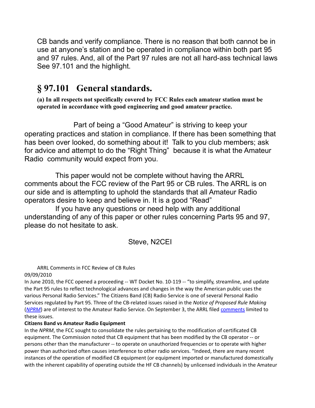CB bands and verify compliance. There is no reason that both cannot be in use at anyone's station and be operated in compliance within both part 95 and 97 rules. And, all of the Part 97 rules are not all hard-ass technical laws See 97.101 and the highlight.

# **§ 97.101 General standards.**

**(a) In all respects not specifically covered by FCC Rules each amateur station must be operated in accordance with good engineering and good amateur practice.**

Part of being a "Good Amateur" is striving to keep your operating practices and station in compliance. If there has been something that has been over looked, do something about it! Talk to you club members; ask for advice and attempt to do the "Right Thing" because it is what the Amateur Radio community would expect from you.

This paper would not be complete without having the ARRL comments about the FCC review of the Part 95 or CB rules. The ARRL is on our side and is attempting to uphold the standards that all Amateur Radio operators desire to keep and believe in. It is a good "Read"

If you have any questions or need help with any additional understanding of any of this paper or other rules concerning Parts 95 and 97, please do not hesitate to ask.

Steve, N2CEI

ARRL Comments in FCC Review of CB Rules 09/09/2010

In June 2010, the FCC opened a proceeding -- WT Docket No. 10-119 -- "to simplify, streamline, and update the Part 95 rules to reflect technological advances and changes in the way the American public uses the various Personal Radio Services." The Citizens Band (CB) Radio Service is one of several Personal Radio Services regulated by Part 95. Three of the CB-related issues raised in the *Notice of Proposed Rule Making* (*[NPRM](http://www.fcc.gov/Daily_Releases/Daily_Business/2010/db0607/FCC-10-106A1.pdf)*) are of interest to the Amateur Radio Service. On September 3, the ARRL filed [comments](http://fjallfoss.fcc.gov/ecfs/document/view?id=7020910958) limited to these issues.

### **Citizens Band vs Amateur Radio Equipment**

In the *NPRM*, the FCC sought to consolidate the rules pertaining to the modification of certificated CB equipment. The Commission noted that CB equipment that has been modified by the CB operator -- or persons other than the manufacturer -- to operate on unauthorized frequencies or to operate with higher power than authorized often causes interference to other radio services. "Indeed, there are many recent instances of the operation of modified CB equipment (or equipment imported or manufactured domestically with the inherent capability of operating outside the HF CB channels) by unlicensed individuals in the Amateur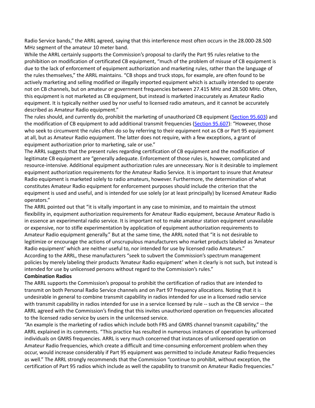Radio Service bands," the ARRL agreed, saying that this interference most often occurs in the 28.000-28.500 MHz segment of the amateur 10 meter band.

While the ARRL certainly supports the Commission's proposal to clarify the Part 95 rules relative to the prohibition on modification of certificated CB equipment, "much of the problem of misuse of CB equipment is due to the lack of enforcement of equipment authorization and marketing rules, rather than the language of the rules themselves," the ARRL maintains. "CB shops and truck stops, for example, are often found to be actively marketing and selling modified or illegally imported equipment which is actually intended to operate not on CB channels, but on amateur or government frequencies between 27.415 MHz and 28.500 MHz. Often, this equipment is not marketed as CB equipment, but instead is marketed inaccurately as Amateur Radio equipment. It is typically neither used by nor useful to licensed radio amateurs, and it cannot be accurately described as Amateur Radio equipment."

The rules should, and currently do, prohibit the marketing of unauthorized CB equipment [\(Section 95.603\)](http://edocket.access.gpo.gov/cfr_2002/octqtr/pdf/47cfr95.603.pdf) and the modification of CB equipment to add additional transmit frequencies [\(Section 95.607\)](http://edocket.access.gpo.gov/cfr_2002/octqtr/pdf/47cfr95.607.pdf): "However, those who seek to circumvent the rules often do so by referring to their equipment not as CB or Part 95 equipment at all, but as Amateur Radio equipment. The latter does not require, with a few exceptions, a grant of equipment authorization prior to marketing, sale or use."

The ARRL suggests that the present rules regarding certification of CB equipment and the modification of legitimate CB equipment are "generally adequate. Enforcement of those rules is, however, complicated and resource-intensive. Additional equipment authorization rules are unnecessary. Nor is it desirable to implement equipment authorization requirements for the Amateur Radio Service. It is important to insure that Amateur Radio equipment is marketed solely to radio amateurs, however. Furthermore, the determination of what constitutes Amateur Radio equipment for enforcement purposes should include the criterion that the equipment is used and useful, and is intended for use solely (or at least principally) by licensed Amateur Radio operators."

The ARRL pointed out that "it is vitally important in any case to minimize, and to maintain the utmost flexibility in, equipment authorization requirements for Amateur Radio equipment, because Amateur Radio is in essence an experimental radio service. It is important not to make amateur station equipment unavailable or expensive, nor to stifle experimentation by application of equipment authorization requirements to Amateur Radio equipment generally." But at the same time, the ARRL noted that "it is not desirable to legitimize or encourage the actions of unscrupulous manufacturers who market products labeled as 'Amateur Radio equipment' which are neither useful to, nor intended for use by licensed radio Amateurs." According to the ARRL, these manufacturers "seek to subvert the Commission's spectrum management policies by merely labeling their products 'Amateur Radio equipment' when it clearly is not such, but instead is intended for use by unlicensed persons without regard to the Commission's rules."

#### **Combination Radios**

The ARRL supports the Commission's proposal to prohibit the certification of radios that are intended to transmit on both Personal Radio Service channels and on Part 97 frequency allocations. Noting that it is undesirable in general to combine transmit capability in radios intended for use in a licensed radio service with transmit capability in radios intended for use in a service licensed by rule -- such as the CB service -- the ARRL agreed with the Commission's finding that this invites unauthorized operation on frequencies allocated to the licensed radio service by users in the unlicensed service.

"An example is the marketing of radios which include both FRS and GMRS channel transmit capability," the ARRL explained in its comments. "This practice has resulted in numerous instances of operation by unlicensed individuals on GMRS frequencies. ARRL is very much concerned that instances of unlicensed operation on Amateur Radio frequencies, which create a difficult and time-consuming enforcement problem when they occur, would increase considerably if Part 95 equipment was permitted to include Amateur Radio frequencies as well." The ARRL strongly recommends that the Commission "continue to prohibit, without exception, the certification of Part 95 radios which include as well the capability to transmit on Amateur Radio frequencies."